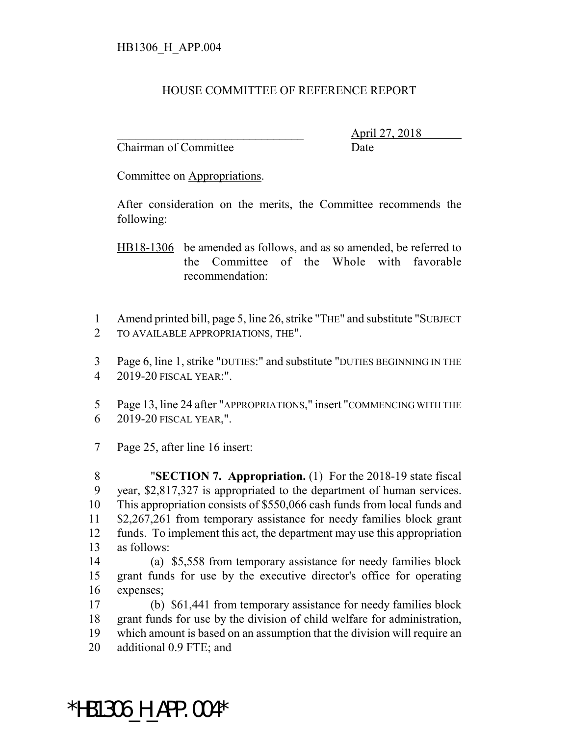## HOUSE COMMITTEE OF REFERENCE REPORT

Chairman of Committee **Date** 

\_\_\_\_\_\_\_\_\_\_\_\_\_\_\_\_\_\_\_\_\_\_\_\_\_\_\_\_\_\_\_ April 27, 2018

Committee on Appropriations.

After consideration on the merits, the Committee recommends the following:

HB18-1306 be amended as follows, and as so amended, be referred to the Committee of the Whole with favorable recommendation:

 Amend printed bill, page 5, line 26, strike "THE" and substitute "SUBJECT TO AVAILABLE APPROPRIATIONS, THE".

 Page 6, line 1, strike "DUTIES:" and substitute "DUTIES BEGINNING IN THE 2019-20 FISCAL YEAR:".

 Page 13, line 24 after "APPROPRIATIONS," insert "COMMENCING WITH THE 2019-20 FISCAL YEAR,".

Page 25, after line 16 insert:

 "**SECTION 7. Appropriation.** (1) For the 2018-19 state fiscal year, \$2,817,327 is appropriated to the department of human services. This appropriation consists of \$550,066 cash funds from local funds and \$2,267,261 from temporary assistance for needy families block grant funds. To implement this act, the department may use this appropriation as follows:

 (a) \$5,558 from temporary assistance for needy families block grant funds for use by the executive director's office for operating expenses;

 (b) \$61,441 from temporary assistance for needy families block grant funds for use by the division of child welfare for administration, which amount is based on an assumption that the division will require an additional 0.9 FTE; and

\*HB1306\_H\_APP.004\*